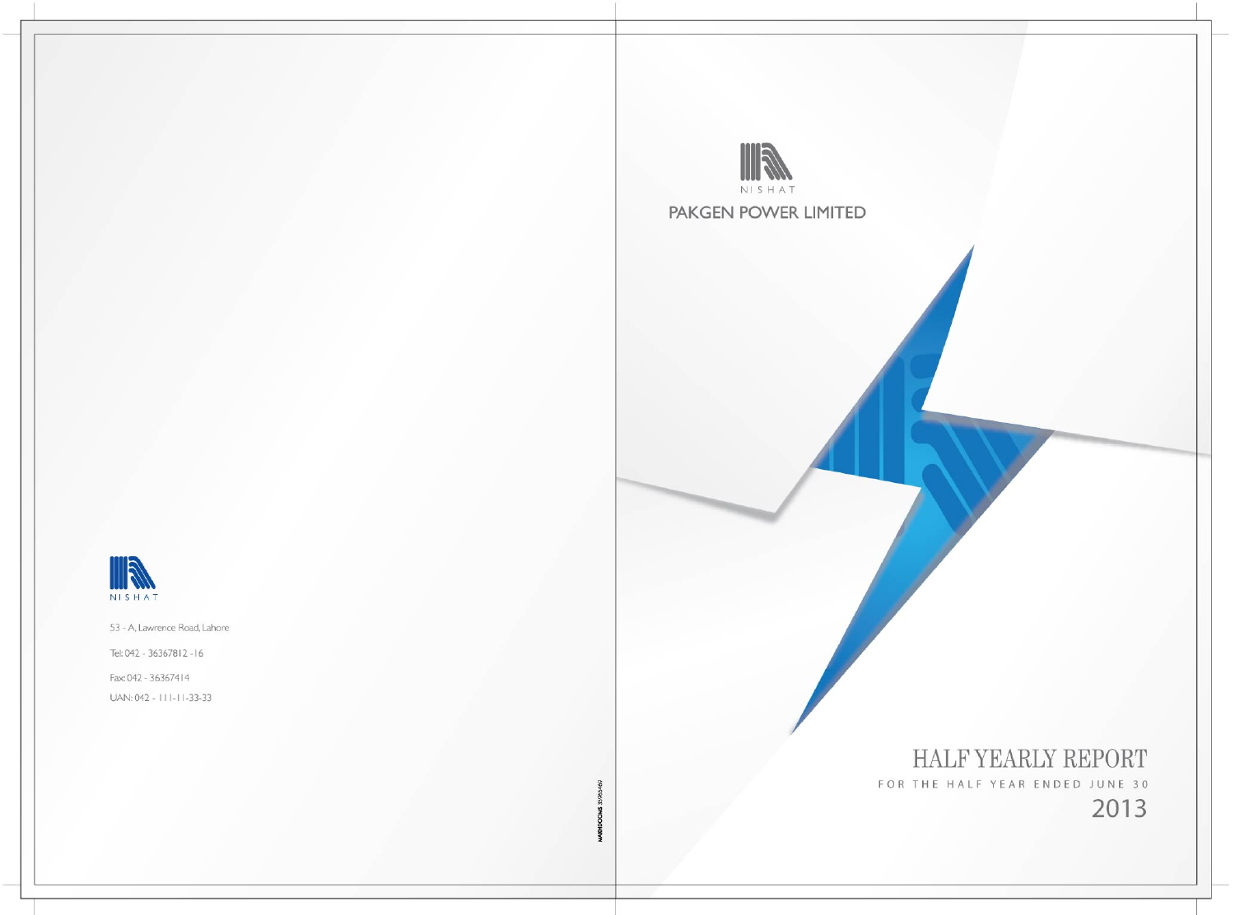

PAKGEN POWER LIMITED

HALF YEARLY REPORT FOR THE HALF YEAR ENDED JUNE 30 2013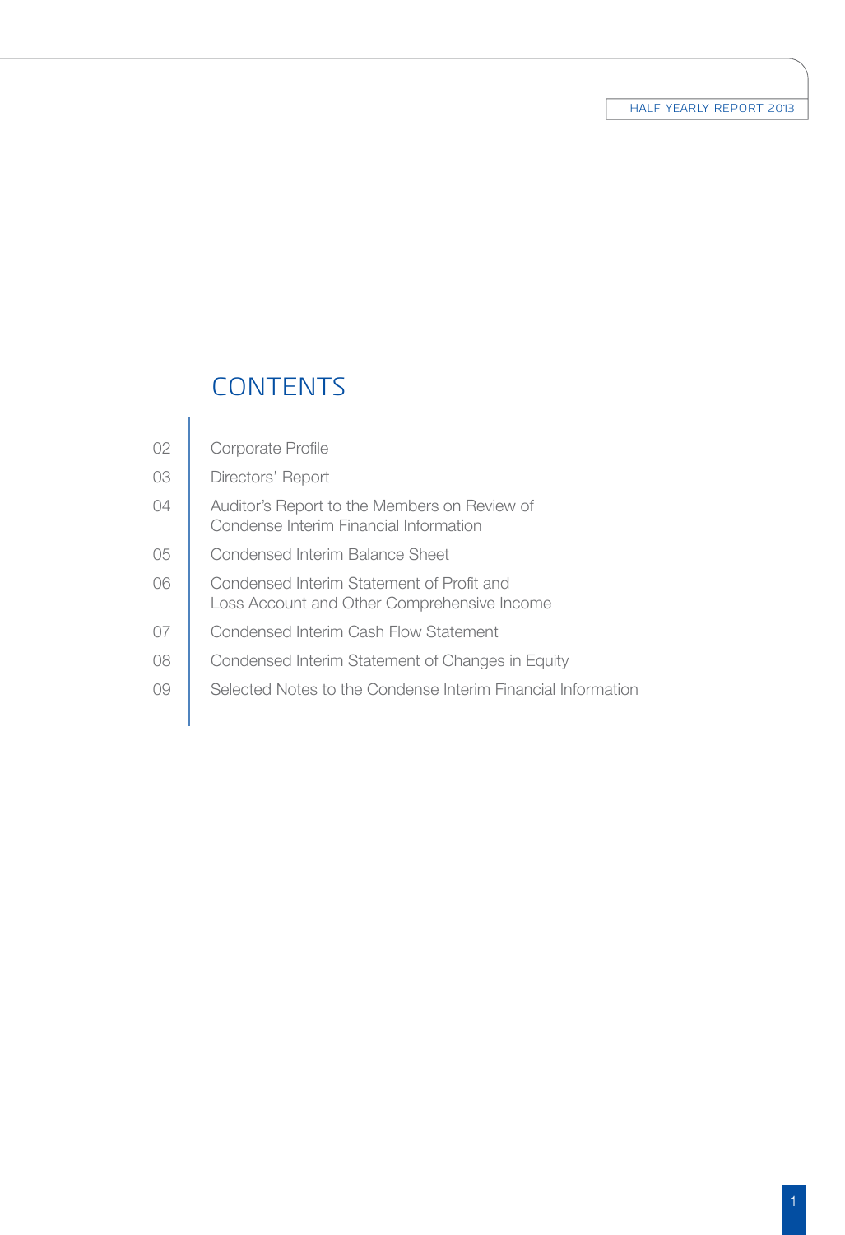# **CONTENTS**

 $\overline{1}$ 

| 02             | Corporate Profile                                                                        |
|----------------|------------------------------------------------------------------------------------------|
| 03             | Directors' Report                                                                        |
| 04             | Auditor's Report to the Members on Review of<br>Condense Interim Financial Information   |
| 05             | Condensed Interim Balance Sheet                                                          |
| 06             | Condensed Interim Statement of Profit and<br>Loss Account and Other Comprehensive Income |
| 07             | Condensed Interim Cash Flow Statement                                                    |
| 08             | Condensed Interim Statement of Changes in Equity                                         |
| O <sub>9</sub> | Selected Notes to the Condense Interim Financial Information                             |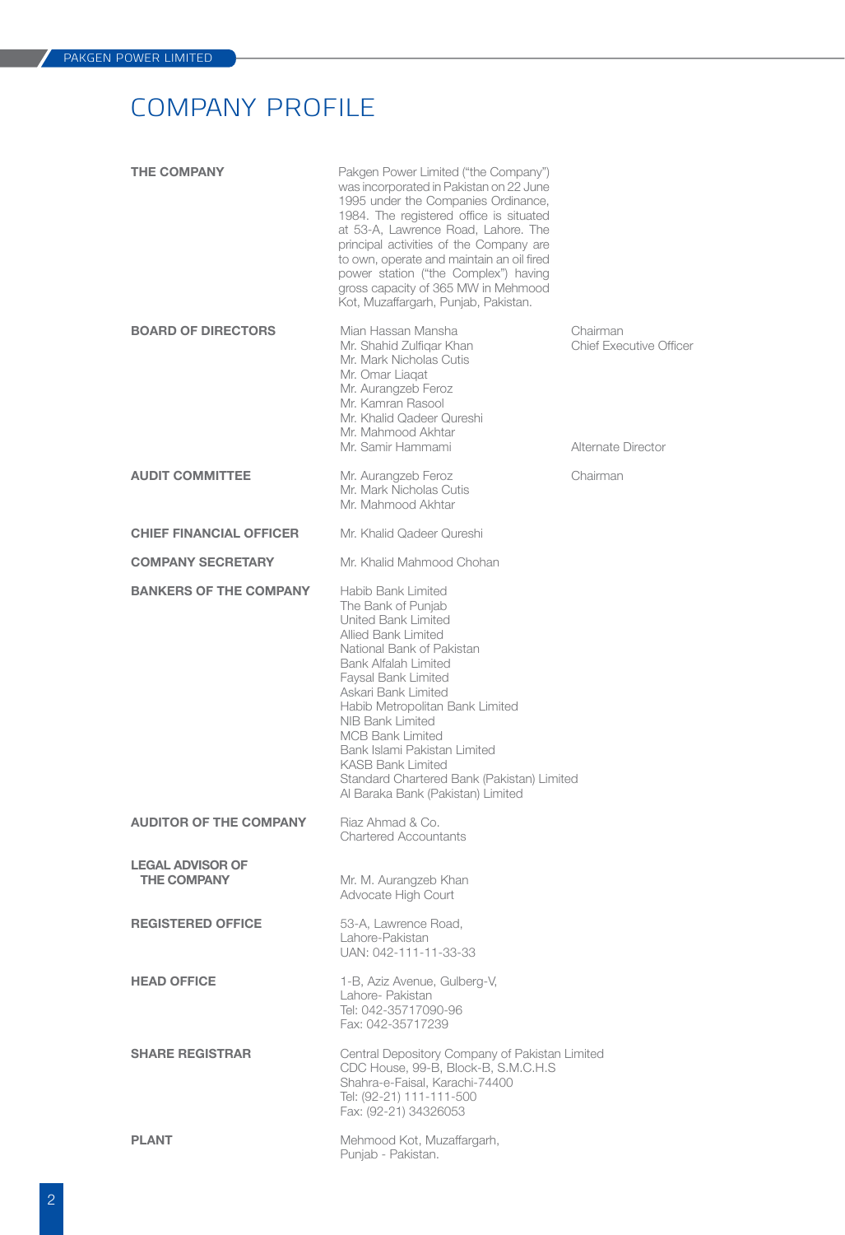# Company Profile

| <b>THE COMPANY</b>                            | Pakgen Power Limited ("the Company")<br>was incorporated in Pakistan on 22 June<br>1995 under the Companies Ordinance,<br>1984. The registered office is situated<br>at 53-A, Lawrence Road, Lahore. The<br>principal activities of the Company are<br>to own, operate and maintain an oil fired<br>power station ("the Complex") having<br>gross capacity of 365 MW in Mehmood<br>Kot, Muzaffargarh, Punjab, Pakistan.           |                                                                  |
|-----------------------------------------------|-----------------------------------------------------------------------------------------------------------------------------------------------------------------------------------------------------------------------------------------------------------------------------------------------------------------------------------------------------------------------------------------------------------------------------------|------------------------------------------------------------------|
| <b>BOARD OF DIRECTORS</b>                     | Mian Hassan Mansha<br>Mr. Shahid Zulfigar Khan<br>Mr. Mark Nicholas Cutis<br>Mr. Omar Liagat<br>Mr. Aurangzeb Feroz<br>Mr. Kamran Rasool<br>Mr. Khalid Qadeer Qureshi<br>Mr. Mahmood Akhtar<br>Mr. Samir Hammami                                                                                                                                                                                                                  | Chairman<br><b>Chief Executive Officer</b><br>Alternate Director |
| <b>AUDIT COMMITTEE</b>                        | Mr. Aurangzeb Feroz<br>Mr. Mark Nicholas Cutis                                                                                                                                                                                                                                                                                                                                                                                    | Chairman                                                         |
| <b>CHIEF FINANCIAL OFFICER</b>                | Mr. Mahmood Akhtar<br>Mr. Khalid Qadeer Qureshi                                                                                                                                                                                                                                                                                                                                                                                   |                                                                  |
| <b>COMPANY SECRETARY</b>                      | Mr. Khalid Mahmood Chohan                                                                                                                                                                                                                                                                                                                                                                                                         |                                                                  |
|                                               |                                                                                                                                                                                                                                                                                                                                                                                                                                   |                                                                  |
| <b>BANKERS OF THE COMPANY</b>                 | Habib Bank Limited<br>The Bank of Punjab<br>United Bank Limited<br><b>Allied Bank Limited</b><br>National Bank of Pakistan<br>Bank Alfalah Limited<br>Faysal Bank Limited<br>Askari Bank Limited<br>Habib Metropolitan Bank Limited<br>NIB Bank Limited<br><b>MCB Bank Limited</b><br>Bank Islami Pakistan Limited<br><b>KASB Bank Limited</b><br>Standard Chartered Bank (Pakistan) Limited<br>Al Baraka Bank (Pakistan) Limited |                                                                  |
| <b>AUDITOR OF THE COMPANY</b>                 | Riaz Ahmad & Co.<br><b>Chartered Accountants</b>                                                                                                                                                                                                                                                                                                                                                                                  |                                                                  |
| <b>LEGAL ADVISOR OF</b><br><b>THE COMPANY</b> | Mr. M. Aurangzeb Khan<br>Advocate High Court                                                                                                                                                                                                                                                                                                                                                                                      |                                                                  |
| <b>REGISTERED OFFICE</b>                      | 53-A, Lawrence Road,<br>Lahore-Pakistan<br>UAN: 042-111-11-33-33                                                                                                                                                                                                                                                                                                                                                                  |                                                                  |
| <b>HEAD OFFICE</b>                            | 1-B, Aziz Avenue, Gulberg-V,<br>Lahore- Pakistan<br>Tel: 042-35717090-96<br>Fax: 042-35717239                                                                                                                                                                                                                                                                                                                                     |                                                                  |
| <b>SHARE REGISTRAR</b>                        | Central Depository Company of Pakistan Limited<br>CDC House, 99-B, Block-B, S.M.C.H.S<br>Shahra-e-Faisal, Karachi-74400<br>Tel: (92-21) 111-111-500<br>Fax: (92-21) 34326053                                                                                                                                                                                                                                                      |                                                                  |
| <b>PLANT</b>                                  | Mehmood Kot, Muzaffargarh,<br>Punjab - Pakistan.                                                                                                                                                                                                                                                                                                                                                                                  |                                                                  |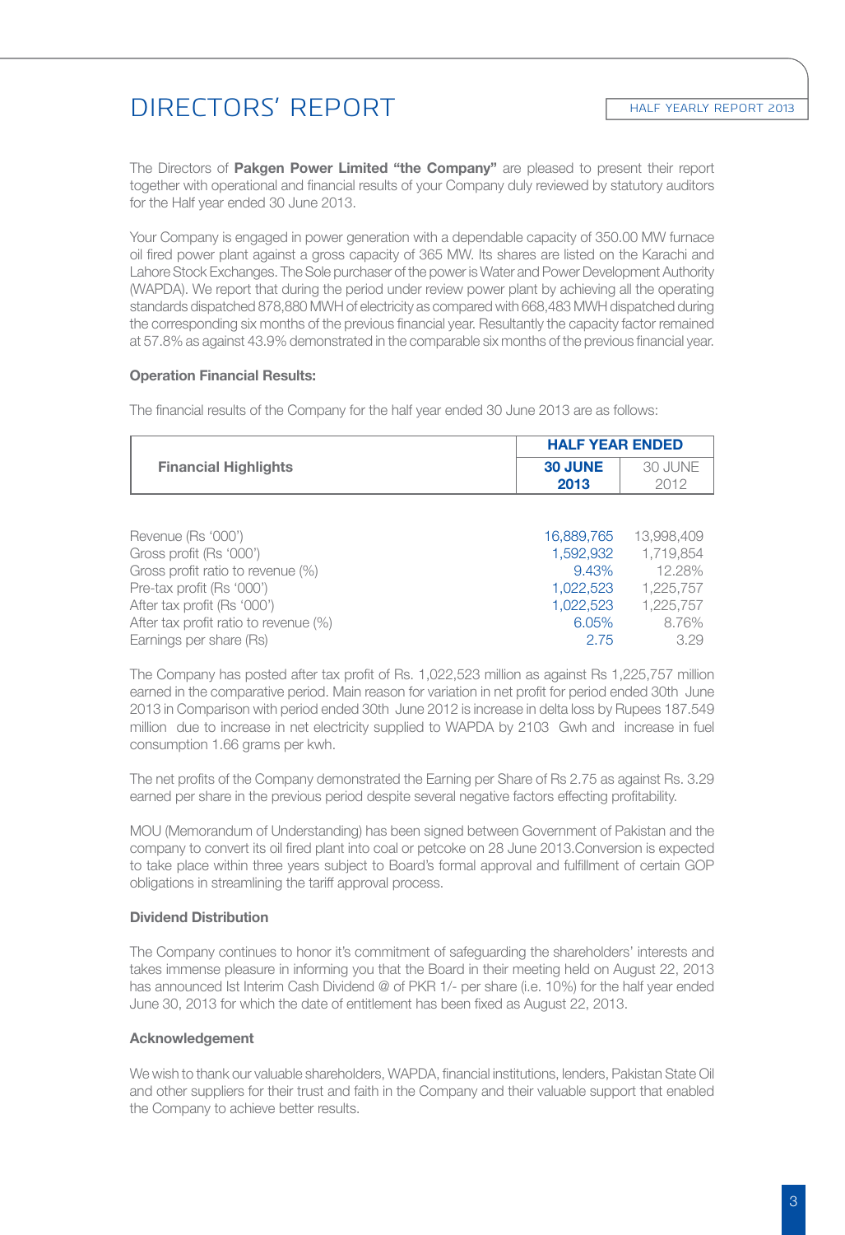# Directors' Report

The Directors of **Pakgen Power Limited "the Company"** are pleased to present their report together with operational and financial results of your Company duly reviewed by statutory auditors for the Half year ended 30 June 2013.

Your Company is engaged in power generation with a dependable capacity of 350.00 MW furnace oil fired power plant against a gross capacity of 365 MW. Its shares are listed on the Karachi and Lahore Stock Exchanges. The Sole purchaser of the power is Water and Power Development Authority (WAPDA). We report that during the period under review power plant by achieving all the operating standards dispatched 878,880 MWH of electricity as compared with 668,483 MWH dispatched during the corresponding six months of the previous financial year. Resultantly the capacity factor remained at 57.8% as against 43.9% demonstrated in the comparable six months of the previous financial year.

#### **Operation Financial Results:**

The financial results of the Company for the half year ended 30 June 2013 are as follows:

|                             | <b>HALF YEAR ENDED</b> |         |
|-----------------------------|------------------------|---------|
| <b>Financial Highlights</b> | <b>30 JUNE</b>         | 30 JUNE |
|                             | 2013                   | 2012    |
|                             |                        |         |
|                             |                        |         |

| Revenue (Rs '000')                    | 16,889,765 | 13.998.409 |
|---------------------------------------|------------|------------|
| Gross profit (Rs '000')               | 1.592.932  | 1.719.854  |
| Gross profit ratio to revenue (%)     | 9.43%      | 12.28%     |
| Pre-tax profit (Rs '000')             | 1.022.523  | 1.225.757  |
| After tax profit (Rs '000')           | 1.022.523  | 1.225.757  |
| After tax profit ratio to revenue (%) | 6.05%      | 8.76%      |
| Earnings per share (Rs)               | 2.75       | 3.29       |

The Company has posted after tax profit of Rs. 1,022,523 million as against Rs 1,225,757 million earned in the comparative period. Main reason for variation in net profit for period ended 30th June 2013 in Comparison with period ended 30th June 2012 is increase in delta loss by Rupees 187.549 million due to increase in net electricity supplied to WAPDA by 2103 Gwh and increase in fuel consumption 1.66 grams per kwh.

The net profits of the Company demonstrated the Earning per Share of Rs 2.75 as against Rs. 3.29 earned per share in the previous period despite several negative factors effecting profitability.

MOU (Memorandum of Understanding) has been signed between Government of Pakistan and the company to convert its oil fired plant into coal or petcoke on 28 June 2013.Conversion is expected to take place within three years subject to Board's formal approval and fulfillment of certain GOP obligations in streamlining the tariff approval process.

#### **Dividend Distribution**

The Company continues to honor it's commitment of safeguarding the shareholders' interests and takes immense pleasure in informing you that the Board in their meeting held on August 22, 2013 has announced Ist Interim Cash Dividend @ of PKR 1/- per share (i.e. 10%) for the half year ended June 30, 2013 for which the date of entitlement has been fixed as August 22, 2013.

#### **Acknowledgement**

We wish to thank our valuable shareholders, WAPDA, financial institutions, lenders, Pakistan State Oil and other suppliers for their trust and faith in the Company and their valuable support that enabled the Company to achieve better results.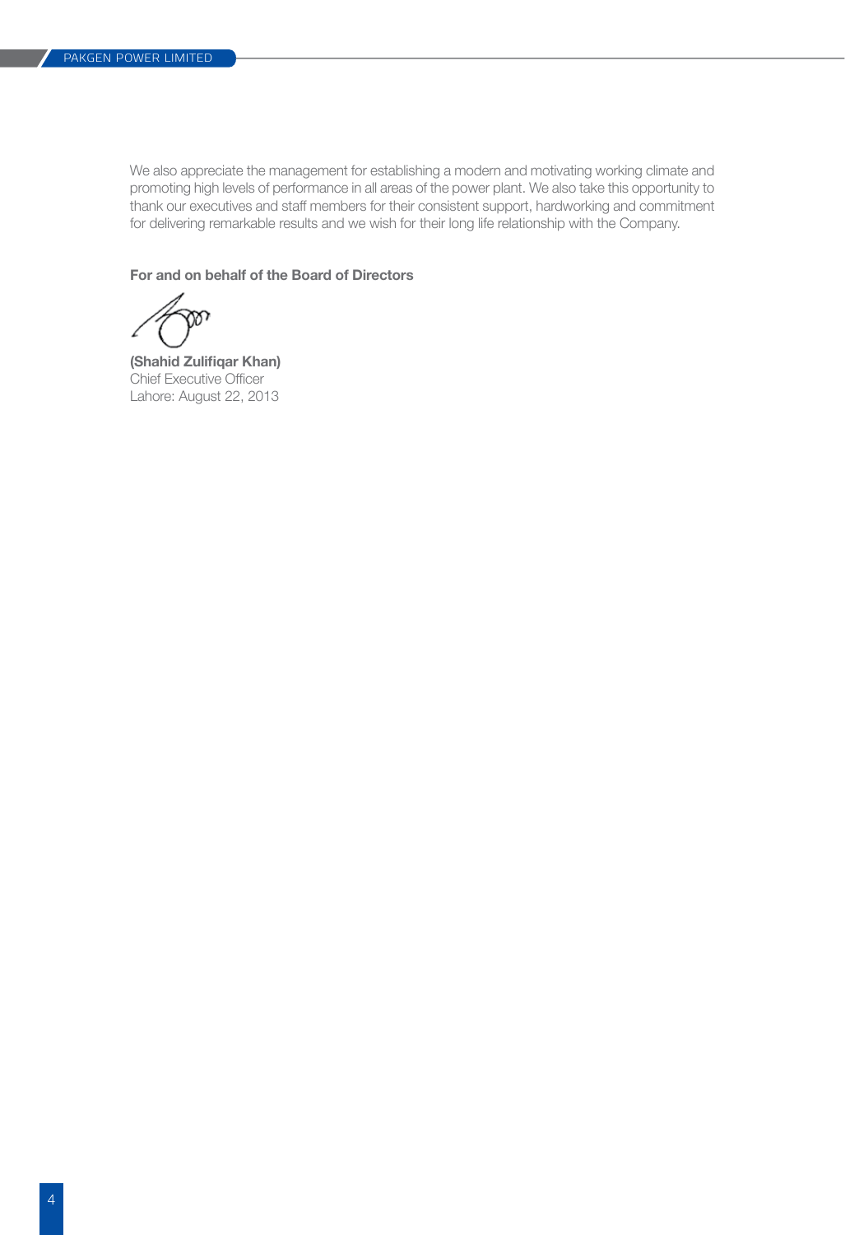We also appreciate the management for establishing a modern and motivating working climate and promoting high levels of performance in all areas of the power plant. We also take this opportunity to thank our executives and staff members for their consistent support, hardworking and commitment for delivering remarkable results and we wish for their long life relationship with the Company.

**For and on behalf of the Board of Directors**

**(Shahid Zulifiqar Khan)** Chief Executive Officer Lahore: August 22, 2013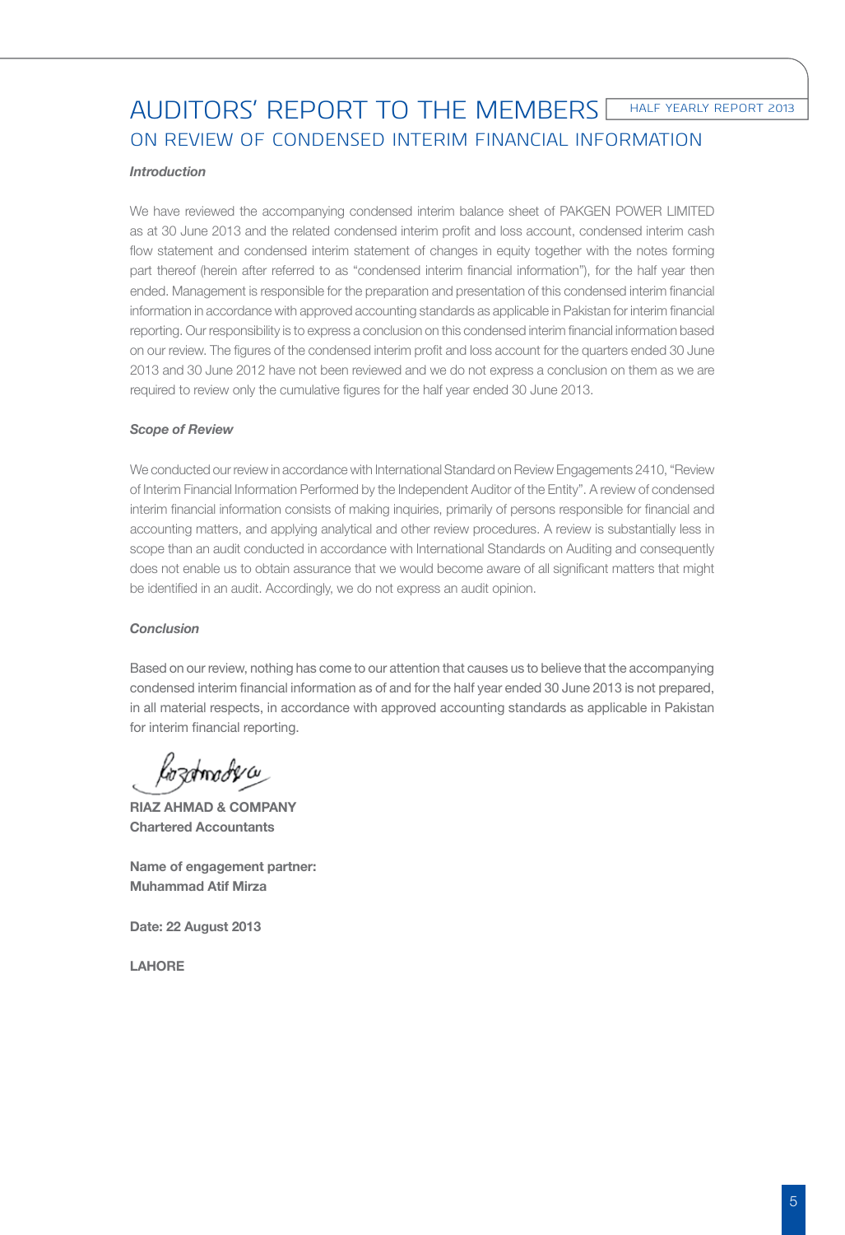HALF YEARLY REPORT 2013

# AUDITORS' REPORT TO THE MEMBERS ON REVIEW OF CONDENSED INTERIM FINANCIAL INFORMATION

#### *Introduction*

We have reviewed the accompanying condensed interim balance sheet of PAKGEN POWER LIMITED as at 30 June 2013 and the related condensed interim profit and loss account, condensed interim cash flow statement and condensed interim statement of changes in equity together with the notes forming part thereof (herein after referred to as "condensed interim financial information"), for the half year then ended. Management is responsible for the preparation and presentation of this condensed interim financial information in accordance with approved accounting standards as applicable in Pakistan for interim financial reporting. Our responsibility is to express a conclusion on this condensed interim financial information based on our review. The figures of the condensed interim profit and loss account for the quarters ended 30 June 2013 and 30 June 2012 have not been reviewed and we do not express a conclusion on them as we are required to review only the cumulative figures for the half year ended 30 June 2013.

#### *Scope of Review*

We conducted our review in accordance with International Standard on Review Engagements 2410, "Review of Interim Financial Information Performed by the Independent Auditor of the Entity". A review of condensed interim financial information consists of making inquiries, primarily of persons responsible for financial and accounting matters, and applying analytical and other review procedures. A review is substantially less in scope than an audit conducted in accordance with International Standards on Auditing and consequently does not enable us to obtain assurance that we would become aware of all significant matters that might be identified in an audit. Accordingly, we do not express an audit opinion.

#### *Conclusion*

Based on our review, nothing has come to our attention that causes us to believe that the accompanying condensed interim financial information as of and for the half year ended 30 June 2013 is not prepared, in all material respects, in accordance with approved accounting standards as applicable in Pakistan for interim financial reporting.

samadercy

**RIAZ AHMAD & COMPANY Chartered Accountants**

**Name of engagement partner: Muhammad Atif Mirza**

**Date: 22 August 2013**

**LAHORE**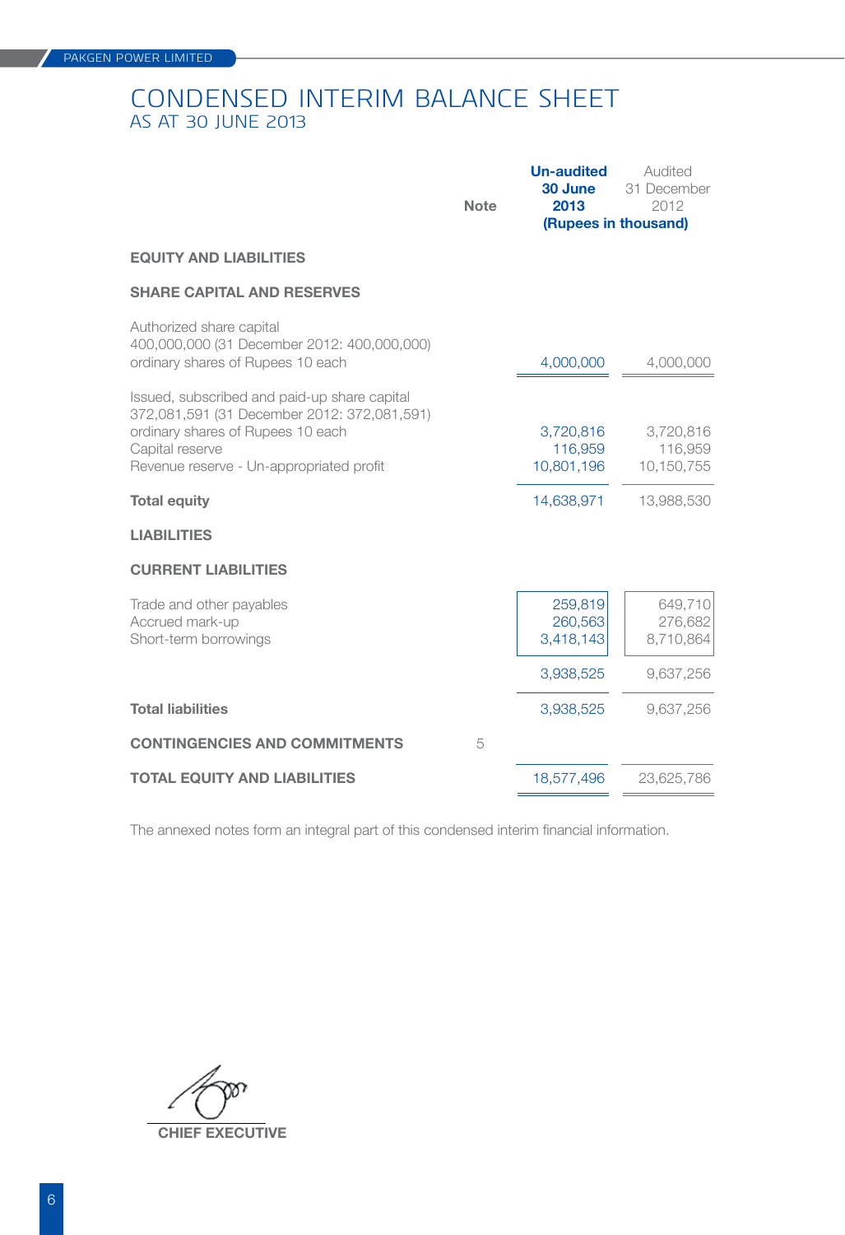# CONDENSED INTERIM BALANCE SHEET AS AT 30 JUNE 2013

| <b>Note</b> | <b>Un-audited</b><br>30 June<br>2013 | Audited<br>31 December<br>2012<br>(Rupees in thousand) |
|-------------|--------------------------------------|--------------------------------------------------------|
|             |                                      |                                                        |
|             |                                      |                                                        |
|             | 4,000,000                            | 4,000,000                                              |
|             | 3,720,816<br>116,959<br>10,801,196   | 3,720,816<br>116,959<br>10,150,755                     |
|             | 14,638,971                           | 13,988,530                                             |
|             |                                      |                                                        |
|             |                                      |                                                        |
|             | 259,819<br>260,563<br>3,418,143      | 649,710<br>276,682<br>8,710,864                        |
|             | 3,938,525                            | 9,637,256                                              |
|             | 3,938,525                            | 9,637,256                                              |
| 5           |                                      |                                                        |
|             | 18,577,496                           | 23,625,786                                             |
|             |                                      |                                                        |

The annexed notes form an integral part of this condensed interim financial information.

 **chief executive**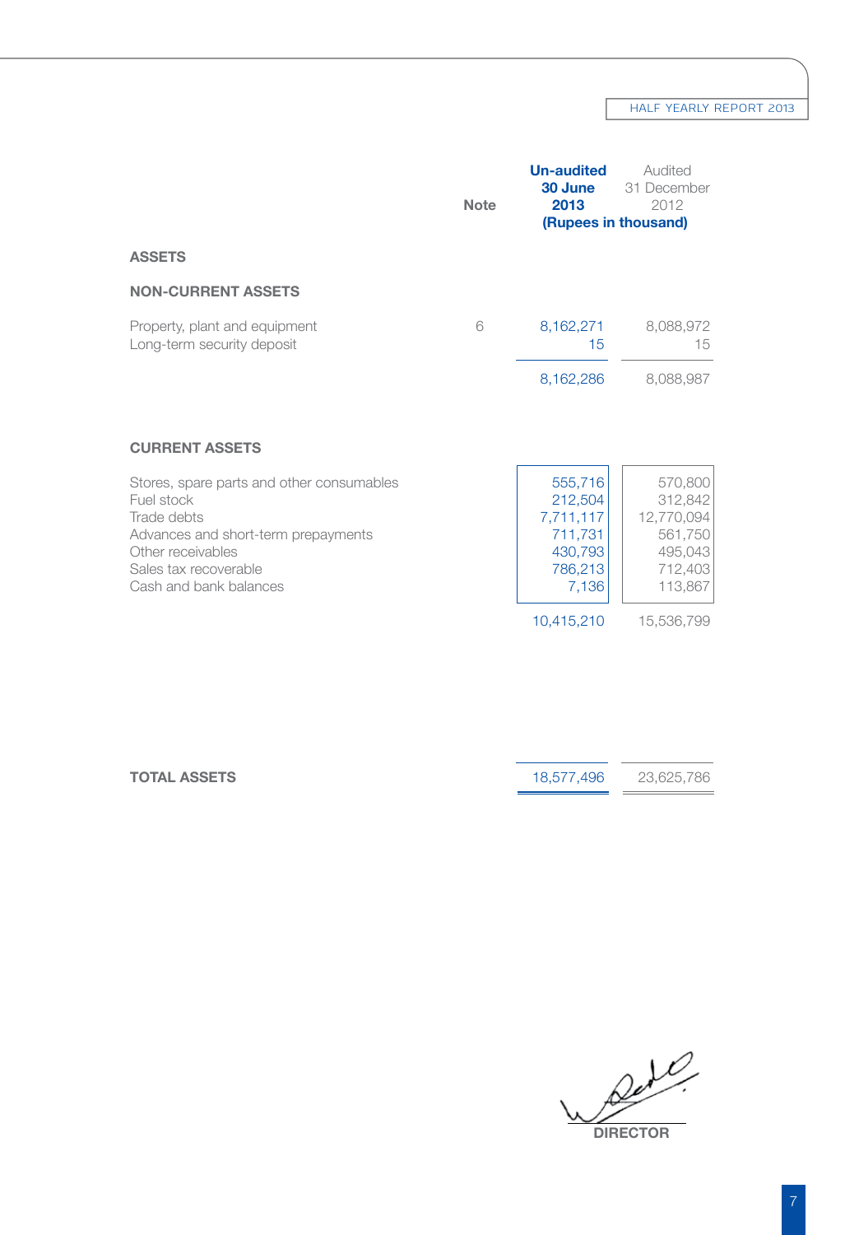## HALF YEARLY REPORT 2013

|                                                                                                                                                                                                                | <b>Note</b> | <b>Un-audited</b><br>30 June<br>2013<br>(Rupees in thousand)                            | Audited<br>31 December<br>2012                                                             |
|----------------------------------------------------------------------------------------------------------------------------------------------------------------------------------------------------------------|-------------|-----------------------------------------------------------------------------------------|--------------------------------------------------------------------------------------------|
| <b>ASSETS</b>                                                                                                                                                                                                  |             |                                                                                         |                                                                                            |
| <b>NON-CURRENT ASSETS</b>                                                                                                                                                                                      |             |                                                                                         |                                                                                            |
| Property, plant and equipment<br>Long-term security deposit                                                                                                                                                    | 6           | 8,162,271<br>15                                                                         | 8,088,972<br>15                                                                            |
|                                                                                                                                                                                                                |             | 8,162,286                                                                               | 8,088,987                                                                                  |
| <b>CURRENT ASSETS</b><br>Stores, spare parts and other consumables<br>Fuel stock<br>Trade debts<br>Advances and short-term prepayments<br>Other receivables<br>Sales tax recoverable<br>Cash and bank balances |             | 555,716<br>212,504<br>7,711,117<br>711,731<br>430,793<br>786,213<br>7,136<br>10,415,210 | 570,800<br>312,842<br>12,770,094<br>561,750<br>495,043<br>712,403<br>113,867<br>15,536,799 |

| <b>TOTAL ASSETS</b> | 18.577.496 | 23.625.786 |
|---------------------|------------|------------|
|                     |            |            |

*Directors in the directors of the directors of the Directors of the Directors of the Directors of the Directors of the Directors of the Directors of the Directors of the Directors of the Directors of the Directors of the*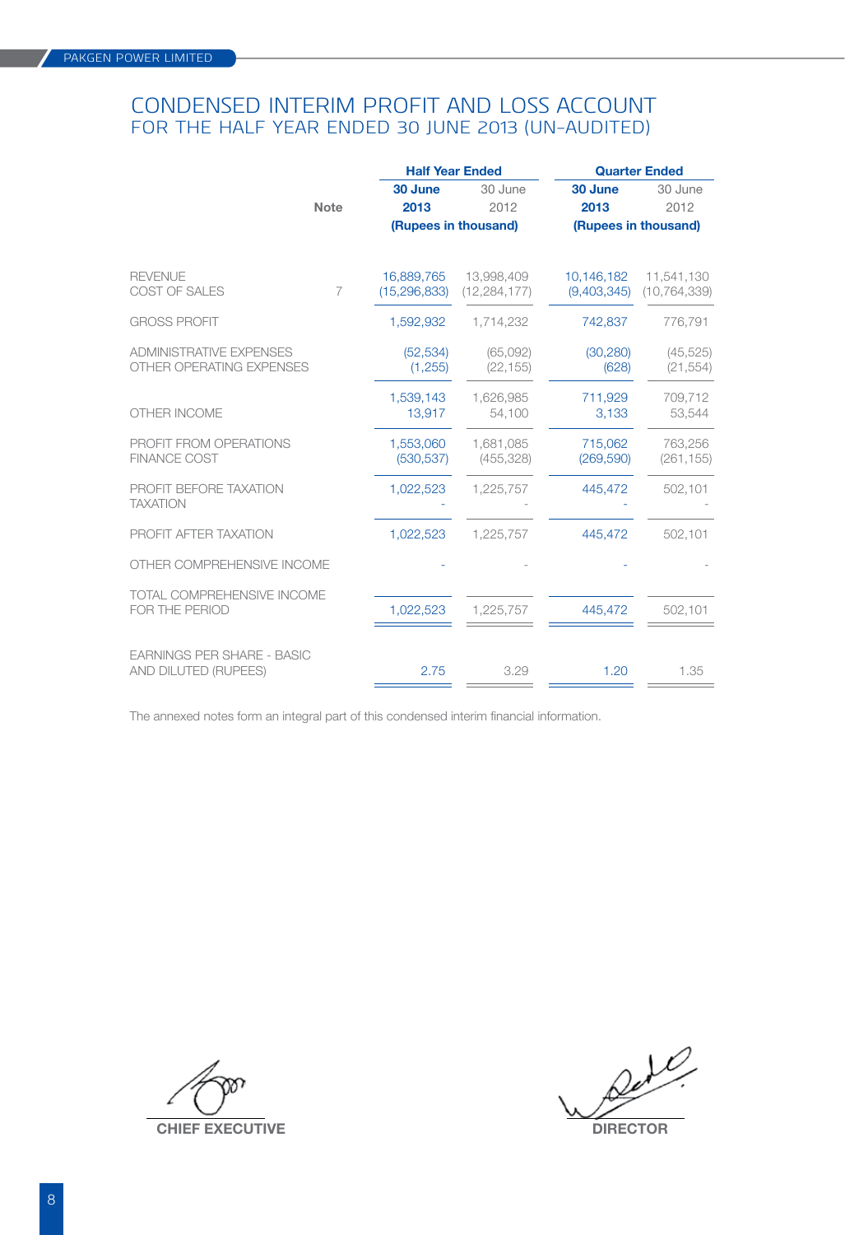## CONDENSED INTERIM PROFIT AND LOSS ACCOUNT FOR THE half year ENDED 30 JUNE 2013 (UN-AUDITED)

|                                                            |                | <b>Half Year Ended</b>       |                              | <b>Quarter Ended</b>      |                              |  |
|------------------------------------------------------------|----------------|------------------------------|------------------------------|---------------------------|------------------------------|--|
|                                                            |                | 30 June                      | 30 June                      | 30 June                   | 30 June                      |  |
|                                                            | Note           | 2013                         | 2012                         | 2013                      | 2012                         |  |
|                                                            |                |                              | (Rupees in thousand)         |                           | (Rupees in thousand)         |  |
| <b>REVENUE</b><br>COST OF SALES                            | $\overline{7}$ | 16,889,765<br>(15, 296, 833) | 13,998,409<br>(12, 284, 177) | 10,146,182<br>(9,403,345) | 11,541,130<br>(10, 764, 339) |  |
| <b>GROSS PROFIT</b>                                        |                | 1,592,932                    | 1,714,232                    | 742,837                   | 776,791                      |  |
| <b>ADMINISTRATIVE EXPENSES</b><br>OTHER OPERATING EXPENSES |                | (52, 534)<br>(1, 255)        | (65,092)<br>(22, 155)        | (30, 280)<br>(628)        | (45, 525)<br>(21, 554)       |  |
| OTHER INCOME                                               |                | 1,539,143<br>13,917          | 1,626,985<br>54,100          | 711,929<br>3,133          | 709,712<br>53,544            |  |
| PROFIT FROM OPERATIONS<br><b>FINANCE COST</b>              |                | 1.553.060<br>(530, 537)      | 1.681.085<br>(455, 328)      | 715.062<br>(269, 590)     | 763.256<br>(261, 155)        |  |
| PROFIT BEFORE TAXATION<br><b>TAXATION</b>                  |                | 1,022,523                    | 1,225,757                    | 445,472                   | 502,101                      |  |
| PROFIT AFTER TAXATION                                      |                | 1,022,523                    | 1,225,757                    | 445,472                   | 502,101                      |  |
| OTHER COMPREHENSIVE INCOME                                 |                |                              |                              |                           |                              |  |
| TOTAL COMPREHENSIVE INCOME<br>FOR THE PERIOD               |                | 1,022,523                    | 1,225,757                    | 445.472                   | 502,101                      |  |
| <b>EARNINGS PER SHARE - BASIC</b><br>AND DILUTED (RUPEES)  |                | 2.75                         | 3.29                         | 1.20                      | 1.35                         |  |

The annexed notes form an integral part of this condensed interim financial information.

**CHIEF EXECUTIVE DIRECTOR** 

8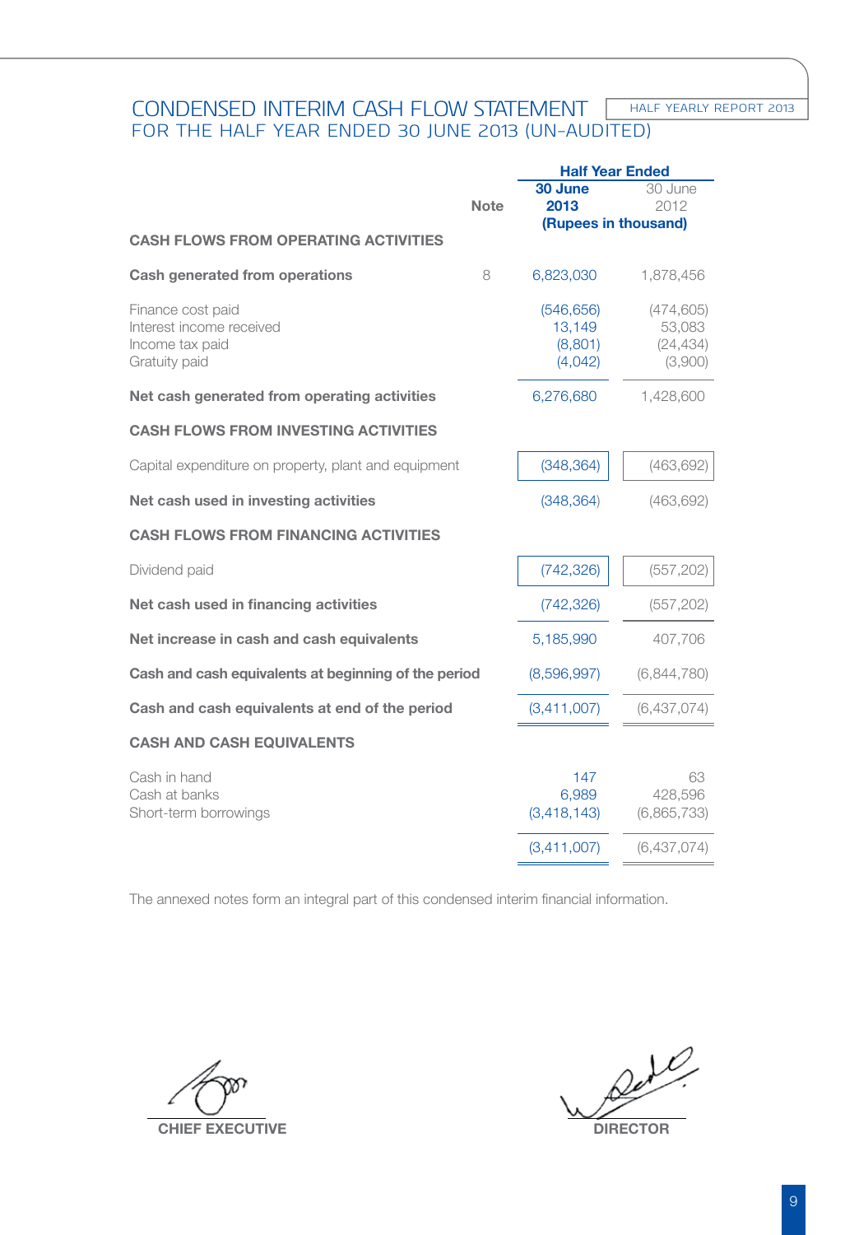#### **HALF YEARLY REPORT 2013** CONDENSED INTERIM CASH FLOW STATEMENT FOR THE half year ENDED 30 JUNE 2013 (UN-AUDITED)

|                                                                                   |             | <b>Half Year Ended</b>                     |                                              |  |
|-----------------------------------------------------------------------------------|-------------|--------------------------------------------|----------------------------------------------|--|
|                                                                                   | <b>Note</b> | 30 June<br>2013                            | 30 June<br>2012                              |  |
| <b>CASH FLOWS FROM OPERATING ACTIVITIES</b>                                       |             | (Rupees in thousand)                       |                                              |  |
| Cash generated from operations                                                    | 8           | 6,823,030                                  | 1,878,456                                    |  |
| Finance cost paid<br>Interest income received<br>Income tax paid<br>Gratuity paid |             | (546, 656)<br>13,149<br>(8,801)<br>(4,042) | (474, 605)<br>53,083<br>(24, 434)<br>(3,900) |  |
| Net cash generated from operating activities                                      |             | 6,276,680                                  | 1,428,600                                    |  |
| <b>CASH FLOWS FROM INVESTING ACTIVITIES</b>                                       |             |                                            |                                              |  |
| Capital expenditure on property, plant and equipment                              |             | (348, 364)                                 | (463, 692)                                   |  |
| Net cash used in investing activities                                             |             | (348, 364)                                 | (463, 692)                                   |  |
| <b>CASH FLOWS FROM FINANCING ACTIVITIES</b>                                       |             |                                            |                                              |  |
| Dividend paid                                                                     |             | (742, 326)                                 | (557, 202)                                   |  |
| Net cash used in financing activities                                             |             | (742, 326)                                 | (557, 202)                                   |  |
| Net increase in cash and cash equivalents                                         |             | 5,185,990                                  | 407,706                                      |  |
| Cash and cash equivalents at beginning of the period                              |             | (8,596,997)                                | (6,844,780)                                  |  |
| Cash and cash equivalents at end of the period                                    |             | (3,411,007)                                | (6,437,074)                                  |  |
| <b>CASH AND CASH EQUIVALENTS</b>                                                  |             |                                            |                                              |  |
| Cash in hand<br>Cash at banks<br>Short-term borrowings                            |             | 147<br>6.989<br>(3, 418, 143)              | 63<br>428,596<br>(6,865,733)                 |  |
|                                                                                   |             | (3,411,007)                                | (6,437,074)                                  |  |

The annexed notes form an integral part of this condensed interim financial information. 

**CHIEF EXECUTIVE DIRECTOR**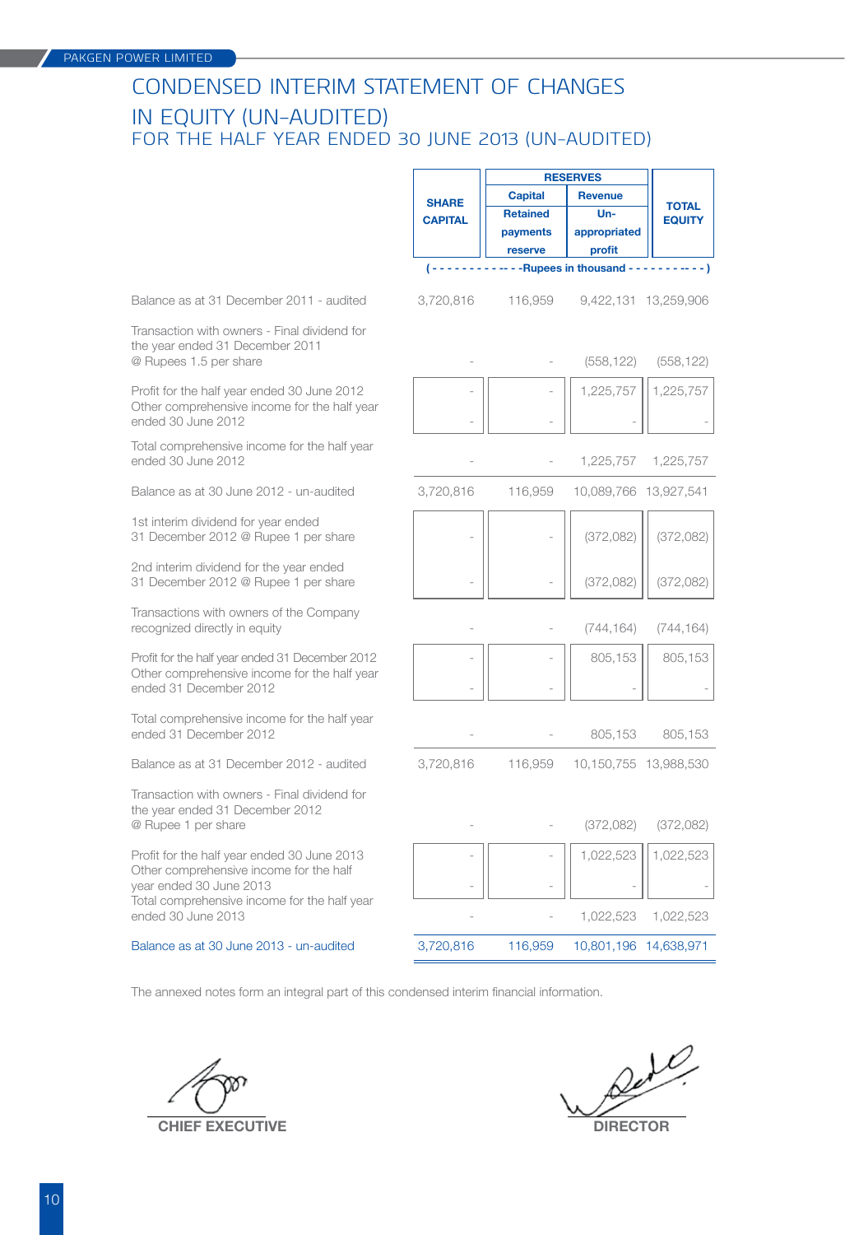## CONDENSED INTERIM STATEMENT OF CHANGES IN EQUITY (Un-audited) FOR THE half year ENDED 30 JUNE 2013 (UN-AUDITED)

|                                                                                                                           |                | <b>RESERVES</b> |                             |                               |
|---------------------------------------------------------------------------------------------------------------------------|----------------|-----------------|-----------------------------|-------------------------------|
|                                                                                                                           | <b>SHARE</b>   | <b>Capital</b>  | <b>Revenue</b>              |                               |
|                                                                                                                           | <b>CAPITAL</b> | <b>Retained</b> | $Un-$                       | <b>TOTAL</b><br><b>EQUITY</b> |
|                                                                                                                           |                | payments        | appropriated                |                               |
|                                                                                                                           |                | reserve         | profit                      |                               |
|                                                                                                                           |                |                 | -- - - Rupees in thousand - |                               |
| Balance as at 31 December 2011 - audited                                                                                  | 3,720,816      | 116,959         |                             | 9,422,131 13,259,906          |
| Transaction with owners - Final dividend for<br>the year ended 31 December 2011<br>@ Rupees 1.5 per share                 |                |                 | (558, 122)                  | (558, 122)                    |
| Profit for the half year ended 30 June 2012<br>Other comprehensive income for the half year<br>ended 30 June 2012         |                |                 | 1,225,757                   | 1,225,757                     |
| Total comprehensive income for the half year<br>ended 30 June 2012                                                        |                |                 | 1,225,757                   | 1,225,757                     |
| Balance as at 30 June 2012 - un-audited                                                                                   | 3,720,816      | 116,959         | 10,089,766 13,927,541       |                               |
| 1st interim dividend for year ended<br>31 December 2012 @ Rupee 1 per share                                               |                |                 | (372, 082)                  | (372,082)                     |
| 2nd interim dividend for the year ended<br>31 December 2012 @ Rupee 1 per share                                           |                |                 | (372, 082)                  | (372,082)                     |
| Transactions with owners of the Company<br>recognized directly in equity                                                  |                |                 | (744, 164)                  | (744, 164)                    |
| Profit for the half year ended 31 December 2012<br>Other comprehensive income for the half year<br>ended 31 December 2012 |                |                 | 805,153                     | 805,153                       |
| Total comprehensive income for the half year<br>ended 31 December 2012                                                    |                |                 | 805,153                     | 805,153                       |
| Balance as at 31 December 2012 - audited                                                                                  | 3,720,816      | 116,959         | 10,150,755 13,988,530       |                               |
| Transaction with owners - Final dividend for<br>the year ended 31 December 2012<br>@ Rupee 1 per share                    |                |                 | (372,082)                   | (372,082)                     |
| Profit for the half year ended 30 June 2013<br>Other comprehensive income for the half<br>year ended 30 June 2013         |                |                 | 1,022,523                   | 1,022,523                     |
| Total comprehensive income for the half year<br>ended 30 June 2013                                                        |                |                 | 1,022,523                   | 1,022,523                     |
| Balance as at 30 June 2013 - un-audited                                                                                   | 3,720,816      | 116,959         | 10,801,196 14,638,971       |                               |

The annexed notes form an integral part of this condensed interim financial information.

**CHIEF EXECUTIVE DIRECTOR**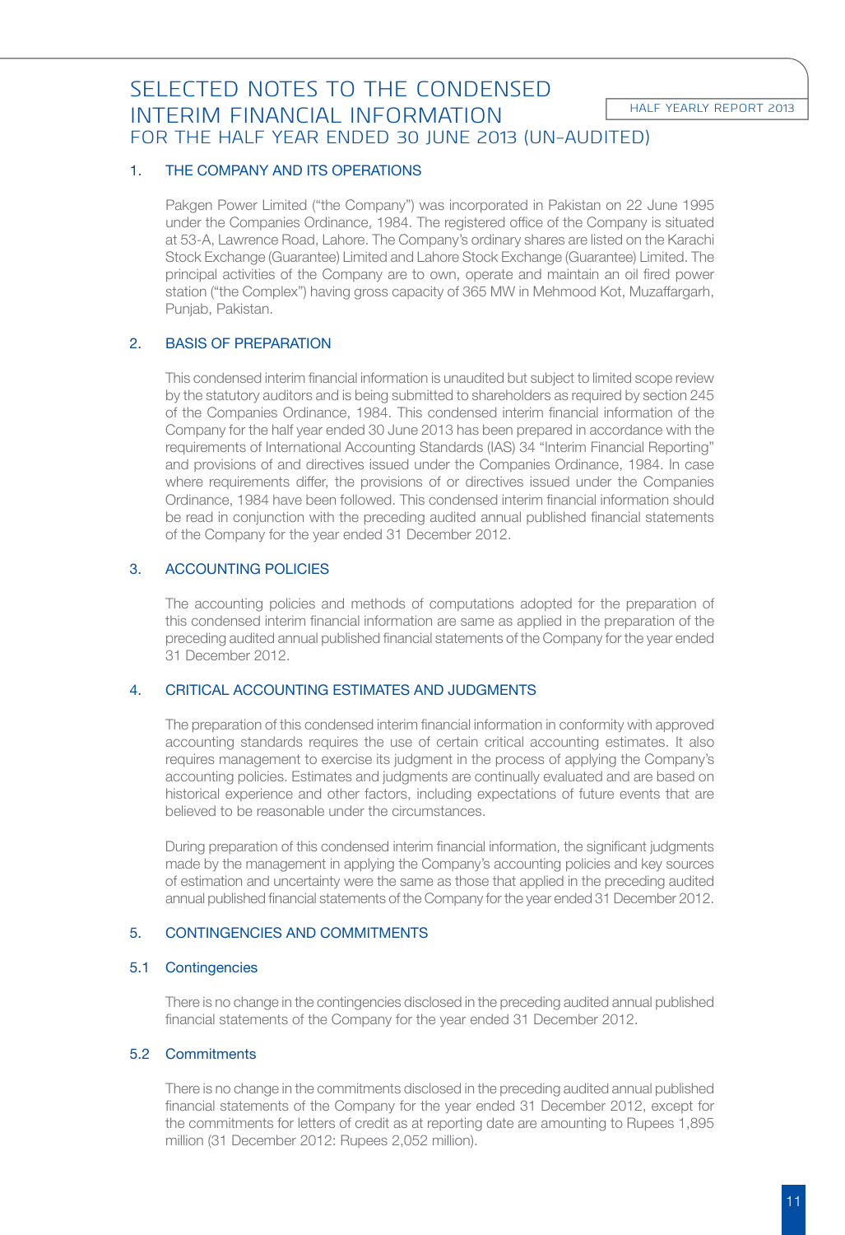# SELECTED NOTES TO THE CONDENSED INTERIM FINANCIAL INFORMATION FOR THE half year ENDED 30 JUNE 2013 (UN-AUDITED)

## 1. THE COMPANY AND ITS OPERATIONS

 Pakgen Power Limited ("the Company") was incorporated in Pakistan on 22 June 1995 under the Companies Ordinance, 1984. The registered office of the Company is situated at 53-A, Lawrence Road, Lahore. The Company's ordinary shares are listed on the Karachi Stock Exchange (Guarantee) Limited and Lahore Stock Exchange (Guarantee) Limited. The principal activities of the Company are to own, operate and maintain an oil fired power station ("the Complex") having gross capacity of 365 MW in Mehmood Kot, Muzaffargarh, Punjab, Pakistan.

## 2. BASIS OF PREPARATION

 This condensed interim financial information is unaudited but subject to limited scope review by the statutory auditors and is being submitted to shareholders as required by section 245 of the Companies Ordinance, 1984. This condensed interim financial information of the Company for the half year ended 30 June 2013 has been prepared in accordance with the requirements of International Accounting Standards (IAS) 34 "Interim Financial Reporting" and provisions of and directives issued under the Companies Ordinance, 1984. In case where requirements differ, the provisions of or directives issued under the Companies Ordinance, 1984 have been followed. This condensed interim financial information should be read in conjunction with the preceding audited annual published financial statements of the Company for the year ended 31 December 2012.

## 3. ACCOUNTING POLICIES

 The accounting policies and methods of computations adopted for the preparation of this condensed interim financial information are same as applied in the preparation of the preceding audited annual published financial statements of the Company for the year ended 31 December 2012.

## 4. CRITICAL ACCOUNTING ESTIMATES AND JUDGMENTS

 The preparation of this condensed interim financial information in conformity with approved accounting standards requires the use of certain critical accounting estimates. It also requires management to exercise its judgment in the process of applying the Company's accounting policies. Estimates and judgments are continually evaluated and are based on historical experience and other factors, including expectations of future events that are believed to be reasonable under the circumstances.

 During preparation of this condensed interim financial information, the significant judgments made by the management in applying the Company's accounting policies and key sources of estimation and uncertainty were the same as those that applied in the preceding audited annual published financial statements of the Company for the year ended 31 December 2012.

## 5. CONTINGENCIES AND COMMITMENTS

## 5.1 Contingencies

 There is no change in the contingencies disclosed in the preceding audited annual published financial statements of the Company for the year ended 31 December 2012.

## 5.2 Commitments

 There is no change in the commitments disclosed in the preceding audited annual published financial statements of the Company for the year ended 31 December 2012, except for the commitments for letters of credit as at reporting date are amounting to Rupees 1,895 million (31 December 2012: Rupees 2,052 million).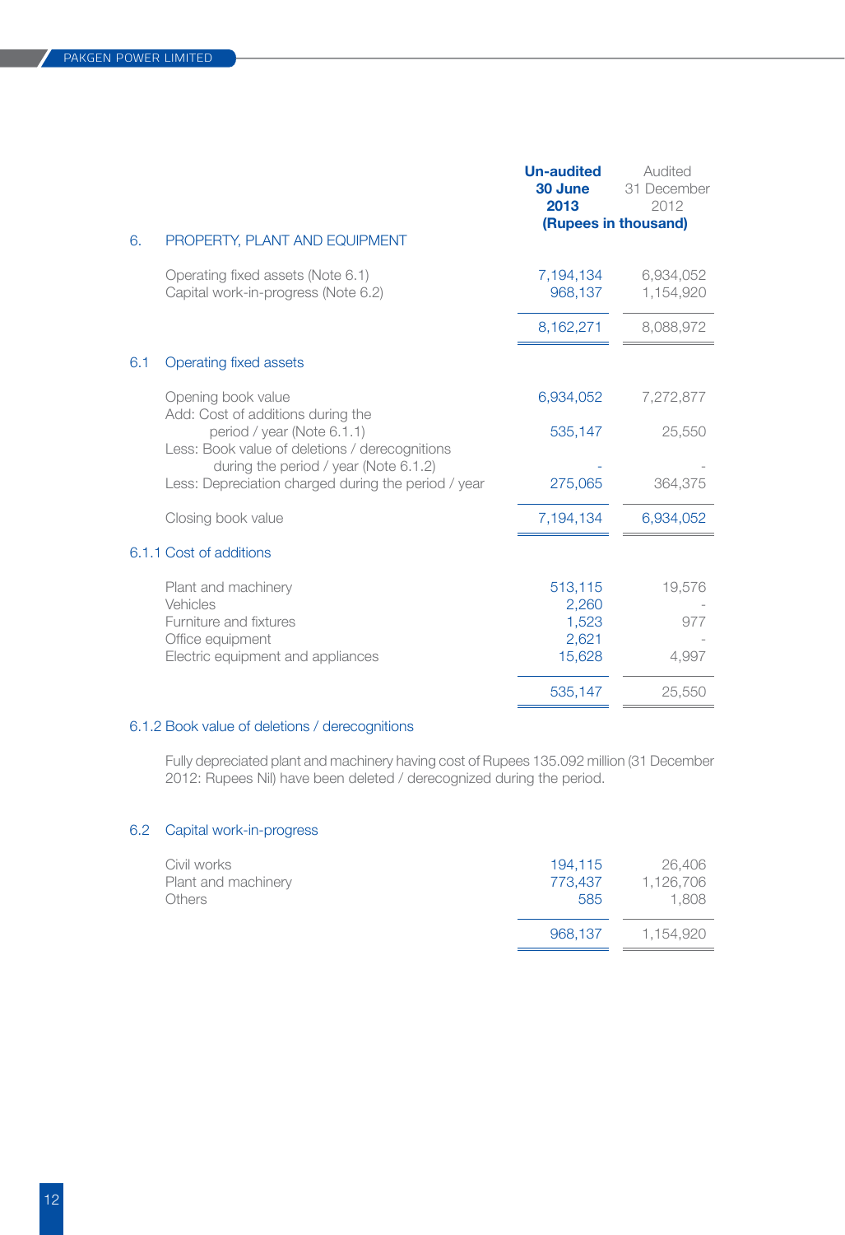|                                                                                                                    | <b>Un-audited</b><br>30 June<br>2013         | Audited<br>31 December<br>2012 |
|--------------------------------------------------------------------------------------------------------------------|----------------------------------------------|--------------------------------|
|                                                                                                                    |                                              | (Rupees in thousand)           |
| PROPERTY, PLANT AND EQUIPMENT<br>6.                                                                                |                                              |                                |
| Operating fixed assets (Note 6.1)<br>Capital work-in-progress (Note 6.2)                                           | 7,194,134<br>968,137                         | 6,934,052<br>1,154,920         |
|                                                                                                                    | 8,162,271                                    | 8,088,972                      |
| 6.1<br>Operating fixed assets                                                                                      |                                              |                                |
| Opening book value<br>Add: Cost of additions during the                                                            | 6,934,052                                    | 7,272,877                      |
| period / year (Note 6.1.1)<br>Less: Book value of deletions / derecognitions                                       | 535,147                                      | 25,550                         |
| during the period / year (Note 6.1.2)<br>Less: Depreciation charged during the period / year                       | 275,065                                      | 364.375                        |
| Closing book value                                                                                                 | 7,194,134                                    | 6,934,052                      |
| 6.1.1 Cost of additions                                                                                            |                                              |                                |
| Plant and machinery<br>Vehicles<br>Furniture and fixtures<br>Office equipment<br>Electric equipment and appliances | 513,115<br>2,260<br>1,523<br>2,621<br>15,628 | 19,576<br>977<br>4,997         |
|                                                                                                                    | 535,147                                      | 25,550                         |

## 6.1.2 Book value of deletions / derecognitions

 Fully depreciated plant and machinery having cost of Rupees 135.092 million (31 December 2012: Rupees Nil) have been deleted / derecognized during the period. 

## 6.2 Capital work-in-progress

| Civil works         | 194.115 | 26,406    |
|---------------------|---------|-----------|
| Plant and machinery | 773.437 | 1,126,706 |
| <b>Others</b>       | 585     | 1.808     |
|                     | 968.137 | 1.154.920 |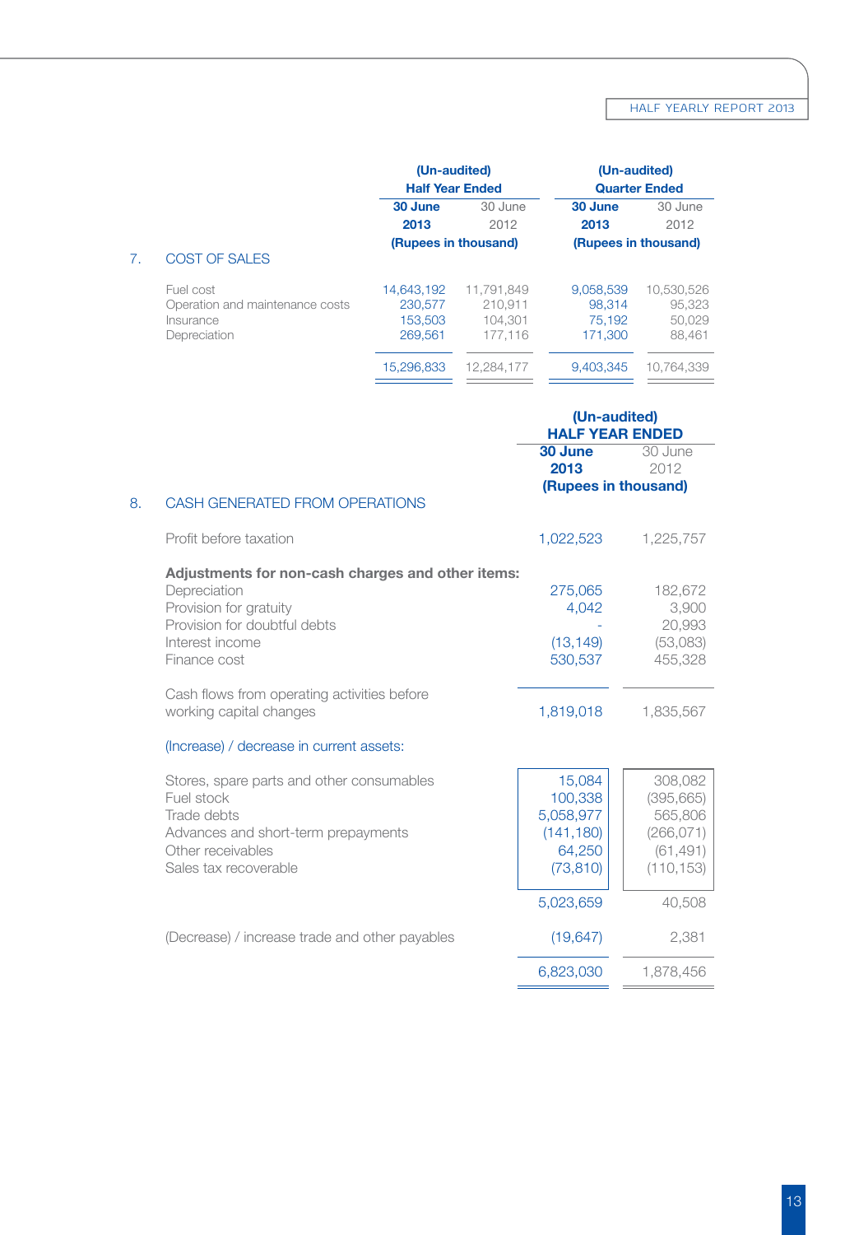|    |                                 | (Un-audited)<br><b>Half Year Ended</b> |            | (Un-audited)<br><b>Quarter Ended</b> |            |
|----|---------------------------------|----------------------------------------|------------|--------------------------------------|------------|
|    |                                 |                                        |            |                                      |            |
|    |                                 | 30 June                                | 30 June    | 30 June                              | 30 June    |
|    |                                 | 2013                                   | 2012       | 2013                                 | 2012       |
|    |                                 | (Rupees in thousand)                   |            | (Rupees in thousand)                 |            |
| 7. | COST OF SALES                   |                                        |            |                                      |            |
|    | Fuel cost                       | 14.643.192                             | 11.791.849 | 9.058.539                            | 10.530.526 |
|    | Operation and maintenance costs | 230,577                                | 210.911    | 98.314                               | 95,323     |
|    | Insurance                       | 153.503                                | 104.301    | 75.192                               | 50.029     |
|    | Depreciation                    | 269.561                                | 177.116    | 171.300                              | 88.461     |
|    |                                 | 15.296.833                             | 12.284.177 | 9.403.345                            | 10.764.339 |
|    |                                 |                                        |            |                                      |            |

|                                                                                                                                                                | (Un-audited)<br><b>HALF YEAR ENDED</b>                              |                                                                           |
|----------------------------------------------------------------------------------------------------------------------------------------------------------------|---------------------------------------------------------------------|---------------------------------------------------------------------------|
|                                                                                                                                                                | 30 June<br>2013<br>(Rupees in thousand)                             | 30 June<br>2012                                                           |
| CASH GENERATED FROM OPERATIONS<br>8.                                                                                                                           |                                                                     |                                                                           |
| Profit before taxation                                                                                                                                         | 1,022,523                                                           | 1,225,757                                                                 |
| Adjustments for non-cash charges and other items:<br>Depreciation<br>Provision for gratuity<br>Provision for doubtful debts<br>Interest income<br>Finance cost | 275,065<br>4,042<br>(13, 149)<br>530,537                            | 182,672<br>3,900<br>20,993<br>(53,083)<br>455,328                         |
| Cash flows from operating activities before<br>working capital changes                                                                                         | 1,819,018                                                           | 1,835,567                                                                 |
| (Increase) / decrease in current assets:                                                                                                                       |                                                                     |                                                                           |
| Stores, spare parts and other consumables<br>Fuel stock<br>Trade debts<br>Advances and short-term prepayments<br>Other receivables<br>Sales tax recoverable    | 15,084<br>100.338<br>5,058,977<br>(141, 180)<br>64,250<br>(73, 810) | 308,082<br>(395, 665)<br>565,806<br>(266, 071)<br>(61, 491)<br>(110, 153) |
| (Decrease) / increase trade and other payables                                                                                                                 | 5,023,659<br>(19, 647)                                              | 40,508<br>2,381                                                           |
|                                                                                                                                                                | 6,823,030                                                           | 1,878,456                                                                 |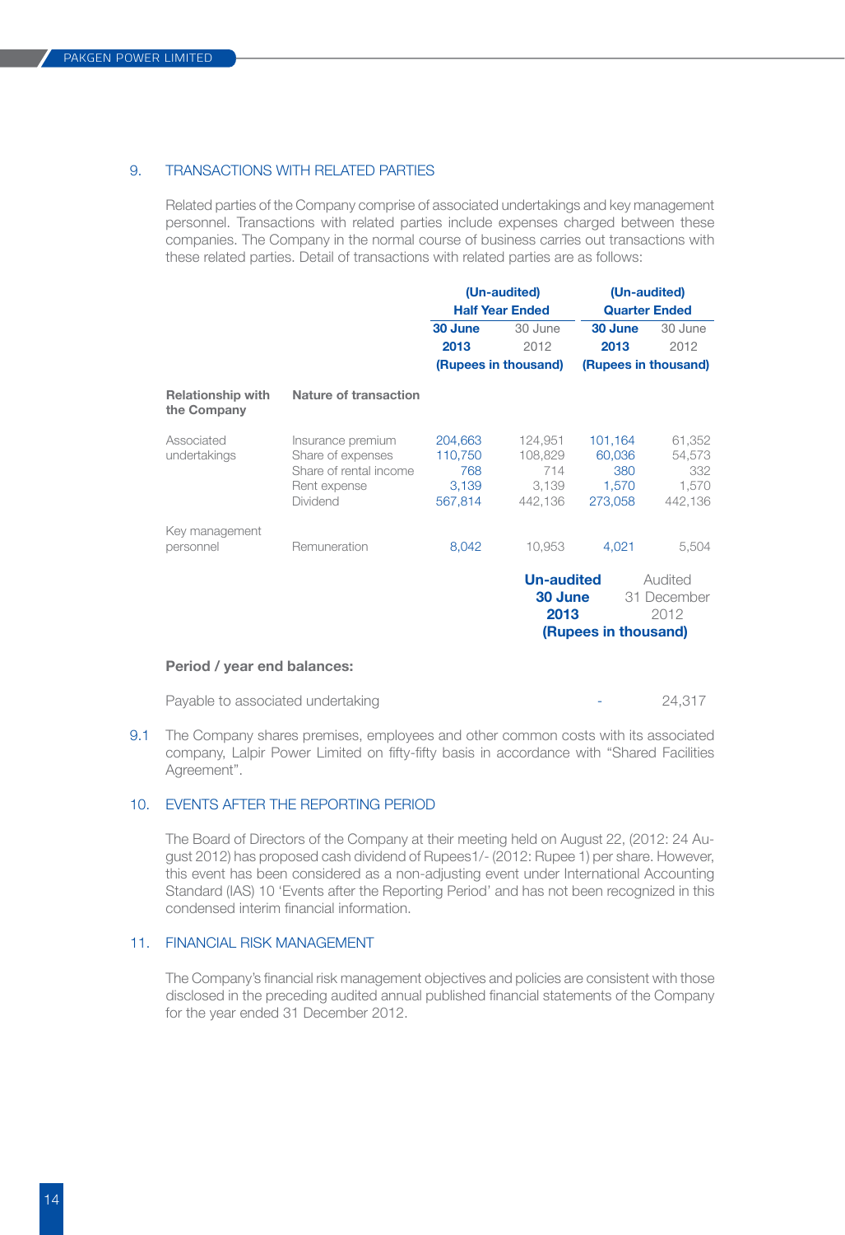#### 9. TRANSACTIONS WITH RELATED PARTIES

 Related parties of the Company comprise of associated undertakings and key management personnel. Transactions with related parties include expenses charged between these companies. The Company in the normal course of business carries out transactions with these related parties. Detail of transactions with related parties are as follows:

|                                                                  | (Un-audited)<br><b>Half Year Ended</b> |                           | (Un-audited)                   |                                               |  |
|------------------------------------------------------------------|----------------------------------------|---------------------------|--------------------------------|-----------------------------------------------|--|
|                                                                  |                                        |                           | <b>Quarter Ended</b>           |                                               |  |
|                                                                  | 30 June                                | 30 June                   | 30 June                        | 30 June                                       |  |
|                                                                  | 2013                                   | 2012                      | 2013                           | 2012                                          |  |
|                                                                  |                                        |                           | (Rupees in thousand)           |                                               |  |
| Nature of transaction                                            |                                        |                           |                                |                                               |  |
| Insurance premium<br>Share of expenses<br>Share of rental income | 204,663<br>110,750<br>768              | 124,951<br>108,829<br>714 | 101,164<br>60,036<br>380       | 61,352<br>54,573<br>332                       |  |
| Rent expense<br><b>Dividend</b>                                  | 3,139<br>567,814                       | 3,139<br>442,136          | 1,570<br>273,058               | 1,570<br>442,136                              |  |
| Remuneration                                                     |                                        |                           |                                | 5,504                                         |  |
|                                                                  |                                        |                           |                                | Audited<br>31 December<br>2012                |  |
|                                                                  |                                        | 8,042                     | (Rupees in thousand)<br>10,953 | 4,021<br><b>Un-audited</b><br>30 June<br>2013 |  |

Payable to associated undertaking  $24,317$ 

9.1 The Company shares premises, employees and other common costs with its associated company, Lalpir Power Limited on fifty-fifty basis in accordance with "Shared Facilities Agreement". 

### 10. EVENTS AFTER THE REPORTING PERIOD

 The Board of Directors of the Company at their meeting held on August 22, (2012: 24 August 2012) has proposed cash dividend of Rupees1/- (2012: Rupee 1) per share. However, this event has been considered as a non-adjusting event under International Accounting Standard (IAS) 10 'Events after the Reporting Period' and has not been recognized in this condensed interim financial information. 

### 11. FINANCIAL RISK MANAGEMENT

 The Company's financial risk management objectives and policies are consistent with those disclosed in the preceding audited annual published financial statements of the Company for the year ended 31 December 2012.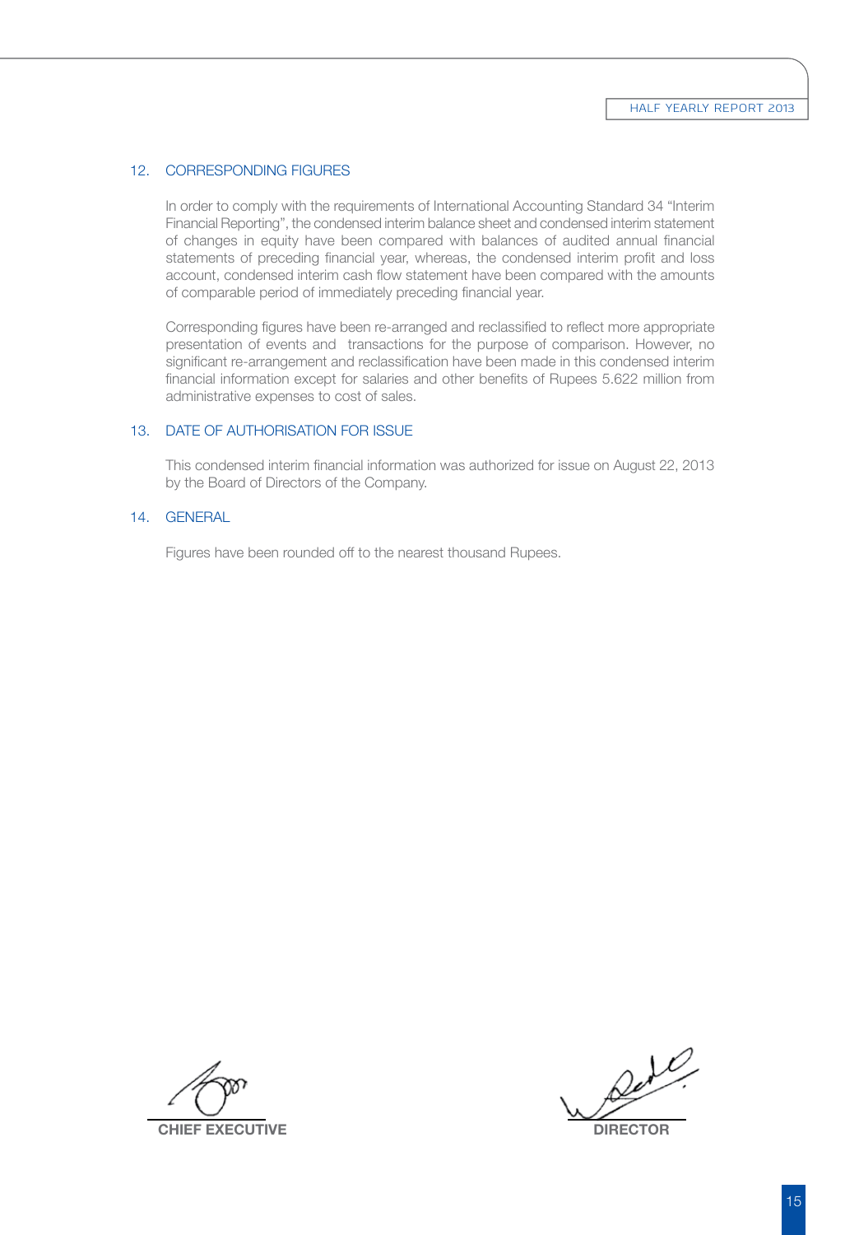#### 12. CORRESPONDING FIGURES

 In order to comply with the requirements of International Accounting Standard 34 "Interim Financial Reporting", the condensed interim balance sheet and condensed interim statement of changes in equity have been compared with balances of audited annual financial statements of preceding financial year, whereas, the condensed interim profit and loss account, condensed interim cash flow statement have been compared with the amounts of comparable period of immediately preceding financial year. 

 Corresponding figures have been re-arranged and reclassified to reflect more appropriate presentation of events and transactions for the purpose of comparison. However, no significant re-arrangement and reclassification have been made in this condensed interim financial information except for salaries and other benefits of Rupees 5.622 million from administrative expenses to cost of sales. 

#### 13. DATE OF AUTHORISATION FOR ISSUE

 This condensed interim financial information was authorized for issue on August 22, 2013 by the Board of Directors of the Company. 

#### 14. GENERAL

 Figures have been rounded off to the nearest thousand Rupees. 

 **chief executive Director**